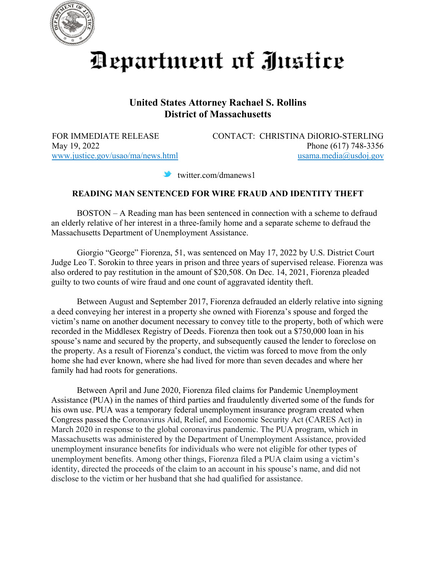

Department of Justice

## **United States Attorney Rachael S. Rollins District of Massachusetts**

FOR IMMEDIATE RELEASE CONTACT: CHRISTINA DiIORIO-STERLING May 19, 2022 Phone (617) 748-3356 [www.justice.gov/usao/ma/news.html](http://www.justice.gov/usao/ma/news.html) [usama.media@usdoj.gov](mailto:usama.media@usdoj.gov)

twitter.com/dmanews1

## **READING MAN SENTENCED FOR WIRE FRAUD AND IDENTITY THEFT**

BOSTON – A Reading man has been sentenced in connection with a scheme to defraud an elderly relative of her interest in a three-family home and a separate scheme to defraud the Massachusetts Department of Unemployment Assistance.

Giorgio "George" Fiorenza, 51, was sentenced on May 17, 2022 by U.S. District Court Judge Leo T. Sorokin to three years in prison and three years of supervised release. Fiorenza was also ordered to pay restitution in the amount of \$20,508. On Dec. 14, 2021, Fiorenza pleaded guilty to two counts of wire fraud and one count of aggravated identity theft.

Between August and September 2017, Fiorenza defrauded an elderly relative into signing a deed conveying her interest in a property she owned with Fiorenza's spouse and forged the victim's name on another document necessary to convey title to the property, both of which were recorded in the Middlesex Registry of Deeds. Fiorenza then took out a \$750,000 loan in his spouse's name and secured by the property, and subsequently caused the lender to foreclose on the property. As a result of Fiorenza's conduct, the victim was forced to move from the only home she had ever known, where she had lived for more than seven decades and where her family had had roots for generations.

Between April and June 2020, Fiorenza filed claims for Pandemic Unemployment Assistance (PUA) in the names of third parties and fraudulently diverted some of the funds for his own use. PUA was a temporary federal unemployment insurance program created when Congress passed the Coronavirus Aid, Relief, and Economic Security Act (CARES Act) in March 2020 in response to the global coronavirus pandemic. The PUA program, which in Massachusetts was administered by the Department of Unemployment Assistance, provided unemployment insurance benefits for individuals who were not eligible for other types of unemployment benefits. Among other things, Fiorenza filed a PUA claim using a victim's identity, directed the proceeds of the claim to an account in his spouse's name, and did not disclose to the victim or her husband that she had qualified for assistance.